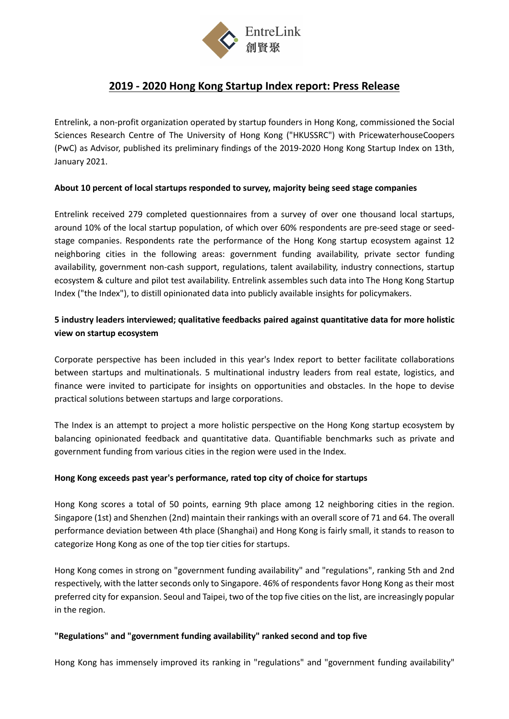

# **2019 - 2020 Hong Kong Startup Index report: Press Release**

Entrelink, a non-profit organization operated by startup founders in Hong Kong, commissioned the Social Sciences Research Centre of The University of Hong Kong ("HKUSSRC") with PricewaterhouseCoopers (PwC) as Advisor, published its preliminary findings of the 2019-2020 Hong Kong Startup Index on 13th, January 2021.

## **About 10 percent of local startups responded to survey, majority being seed stage companies**

Entrelink received 279 completed questionnaires from a survey of over one thousand local startups, around 10% of the local startup population, of which over 60% respondents are pre-seed stage or seedstage companies. Respondents rate the performance of the Hong Kong startup ecosystem against 12 neighboring cities in the following areas: government funding availability, private sector funding availability, government non-cash support, regulations, talent availability, industry connections, startup ecosystem & culture and pilot test availability. Entrelink assembles such data into The Hong Kong Startup Index ("the Index"), to distill opinionated data into publicly available insights for policymakers.

# **5 industry leaders interviewed; qualitative feedbacks paired against quantitative data for more holistic view on startup ecosystem**

Corporate perspective has been included in this year's Index report to better facilitate collaborations between startups and multinationals. 5 multinational industry leaders from real estate, logistics, and finance were invited to participate for insights on opportunities and obstacles. In the hope to devise practical solutions between startups and large corporations.

The Index is an attempt to project a more holistic perspective on the Hong Kong startup ecosystem by balancing opinionated feedback and quantitative data. Quantifiable benchmarks such as private and government funding from various cities in the region were used in the Index.

## **Hong Kong exceeds past year's performance, rated top city of choice for startups**

Hong Kong scores a total of 50 points, earning 9th place among 12 neighboring cities in the region. Singapore (1st) and Shenzhen (2nd) maintain their rankings with an overall score of 71 and 64. The overall performance deviation between 4th place (Shanghai) and Hong Kong is fairly small, it stands to reason to categorize Hong Kong as one of the top tier cities for startups.

Hong Kong comes in strong on "government funding availability" and "regulations", ranking 5th and 2nd respectively, with the latter seconds only to Singapore. 46% of respondents favor Hong Kong as their most preferred city for expansion. Seoul and Taipei, two of the top five cities on the list, are increasingly popular in the region.

## **"Regulations" and "government funding availability" ranked second and top five**

Hong Kong has immensely improved its ranking in "regulations" and "government funding availability"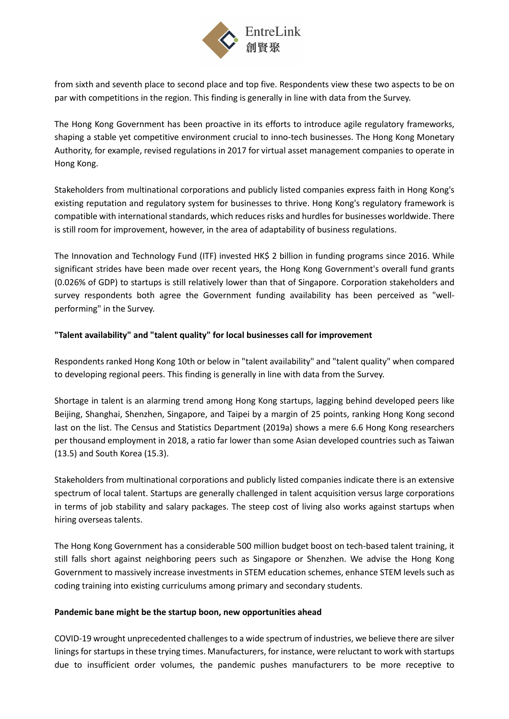

from sixth and seventh place to second place and top five. Respondents view these two aspects to be on par with competitions in the region. This finding is generally in line with data from the Survey.

The Hong Kong Government has been proactive in its efforts to introduce agile regulatory frameworks, shaping a stable yet competitive environment crucial to inno-tech businesses. The Hong Kong Monetary Authority, for example, revised regulations in 2017 for virtual asset management companies to operate in Hong Kong.

Stakeholders from multinational corporations and publicly listed companies express faith in Hong Kong's existing reputation and regulatory system for businesses to thrive. Hong Kong's regulatory framework is compatible with international standards, which reduces risks and hurdles for businesses worldwide. There is still room for improvement, however, in the area of adaptability of business regulations.

The Innovation and Technology Fund (ITF) invested HK\$ 2 billion in funding programs since 2016. While significant strides have been made over recent years, the Hong Kong Government's overall fund grants (0.026% of GDP) to startups is still relatively lower than that of Singapore. Corporation stakeholders and survey respondents both agree the Government funding availability has been perceived as "wellperforming" in the Survey.

## **"Talent availability" and "talent quality" for local businesses call for improvement**

Respondents ranked Hong Kong 10th or below in "talent availability" and "talent quality" when compared to developing regional peers. This finding is generally in line with data from the Survey.

Shortage in talent is an alarming trend among Hong Kong startups, lagging behind developed peers like Beijing, Shanghai, Shenzhen, Singapore, and Taipei by a margin of 25 points, ranking Hong Kong second last on the list. The Census and Statistics Department (2019a) shows a mere 6.6 Hong Kong researchers per thousand employment in 2018, a ratio far lower than some Asian developed countries such as Taiwan (13.5) and South Korea (15.3).

Stakeholders from multinational corporations and publicly listed companies indicate there is an extensive spectrum of local talent. Startups are generally challenged in talent acquisition versus large corporations in terms of job stability and salary packages. The steep cost of living also works against startups when hiring overseas talents.

The Hong Kong Government has a considerable 500 million budget boost on tech-based talent training, it still falls short against neighboring peers such as Singapore or Shenzhen. We advise the Hong Kong Government to massively increase investments in STEM education schemes, enhance STEM levels such as coding training into existing curriculums among primary and secondary students.

#### **Pandemic bane might be the startup boon, new opportunities ahead**

COVID-19 wrought unprecedented challenges to a wide spectrum of industries, we believe there are silver linings for startups in these trying times. Manufacturers, for instance, were reluctant to work with startups due to insufficient order volumes, the pandemic pushes manufacturers to be more receptive to